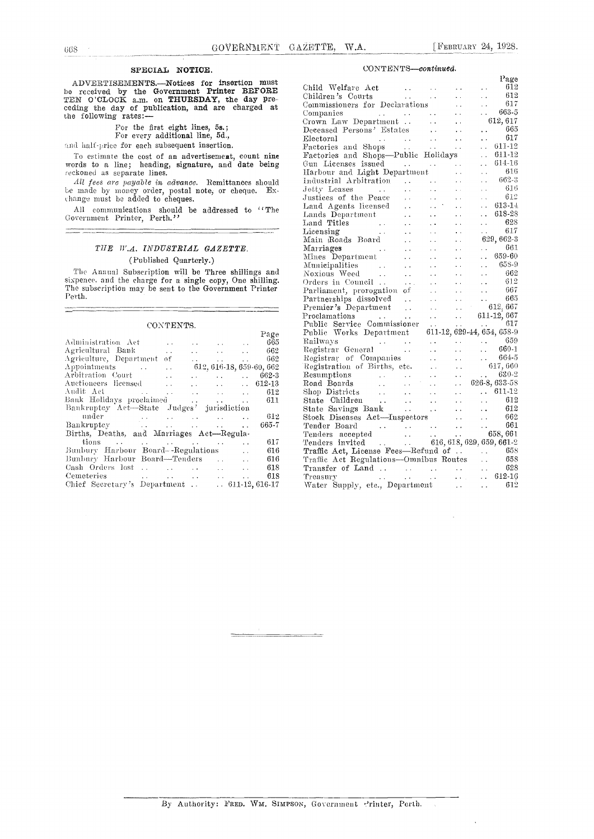#### SPECIAL NOTICE.

ADVERTISEMENTS.--Notices for insertion must be received by the Government Printer BEFORE  $\qquad \qquad \text{Child W}$ TEN O'CLOCK a.m. on THURSDAY, the day pre-<br>ceding the day of publication, and are charged at  $\frac{\text{Con}}{\text{Con}}$ the following rates:

For the first eight lines, 5s.; For every additional line, 5d.,

and half-price for each subsequent insertion.

To estimate the cost of an advertisemext, count nine words to a line; heading, signature, and date being reckoned as separate lines.

All fees are payable in advance. Remittances should ludu<br>the made by money order, postal note, or cheque. Ex-<br>det: change must be added to cheques.

All communications should be addressed to "The Government Printer, Perth."

#### THE W.A. INDUSTRIAL GAZETTE. (Published Quarterly.)

The Annual Subscription will be Three shillings and sixpence, and the charge for a single copy, One shilling.<br>The subscription may be sent to the Government Printer<br>Petth.

#### CONTENTS.

|                          |                                                                    |                                                                                                                                                                                                                                                                                                                                                                                                                                                                                                                                                                                                                                                    | Pul                                                                                                                                   |
|--------------------------|--------------------------------------------------------------------|----------------------------------------------------------------------------------------------------------------------------------------------------------------------------------------------------------------------------------------------------------------------------------------------------------------------------------------------------------------------------------------------------------------------------------------------------------------------------------------------------------------------------------------------------------------------------------------------------------------------------------------------------|---------------------------------------------------------------------------------------------------------------------------------------|
|                          |                                                                    | 665                                                                                                                                                                                                                                                                                                                                                                                                                                                                                                                                                                                                                                                | Rai                                                                                                                                   |
|                          |                                                                    | 662                                                                                                                                                                                                                                                                                                                                                                                                                                                                                                                                                                                                                                                | Res                                                                                                                                   |
|                          |                                                                    | 662                                                                                                                                                                                                                                                                                                                                                                                                                                                                                                                                                                                                                                                | Reg                                                                                                                                   |
|                          |                                                                    |                                                                                                                                                                                                                                                                                                                                                                                                                                                                                                                                                                                                                                                    | Res                                                                                                                                   |
| $\sim$ $\sim$            |                                                                    | $662 - 3$                                                                                                                                                                                                                                                                                                                                                                                                                                                                                                                                                                                                                                          | Res                                                                                                                                   |
|                          |                                                                    |                                                                                                                                                                                                                                                                                                                                                                                                                                                                                                                                                                                                                                                    | Roa                                                                                                                                   |
|                          |                                                                    | 612                                                                                                                                                                                                                                                                                                                                                                                                                                                                                                                                                                                                                                                | $_{\rm Shc}$                                                                                                                          |
| Bank Holidays proclaimed |                                                                    | 611                                                                                                                                                                                                                                                                                                                                                                                                                                                                                                                                                                                                                                                | Sta                                                                                                                                   |
|                          |                                                                    |                                                                                                                                                                                                                                                                                                                                                                                                                                                                                                                                                                                                                                                    | Sta                                                                                                                                   |
|                          | $\sim$ $\sim$                                                      | 612                                                                                                                                                                                                                                                                                                                                                                                                                                                                                                                                                                                                                                                | $_{\rm Sto}$                                                                                                                          |
|                          | $\ddot{\phantom{a}}$                                               | 665-7                                                                                                                                                                                                                                                                                                                                                                                                                                                                                                                                                                                                                                              | Ter                                                                                                                                   |
|                          |                                                                    |                                                                                                                                                                                                                                                                                                                                                                                                                                                                                                                                                                                                                                                    | Ter                                                                                                                                   |
|                          | $\ddot{\phantom{0}}$                                               | 617                                                                                                                                                                                                                                                                                                                                                                                                                                                                                                                                                                                                                                                | Ter                                                                                                                                   |
|                          | $\ddot{\phantom{a}}$                                               | 616                                                                                                                                                                                                                                                                                                                                                                                                                                                                                                                                                                                                                                                | Tra                                                                                                                                   |
|                          | $\ddot{\phantom{a}}$                                               | 616                                                                                                                                                                                                                                                                                                                                                                                                                                                                                                                                                                                                                                                | Tra                                                                                                                                   |
|                          | $\ddot{\phantom{0}}$                                               | 618                                                                                                                                                                                                                                                                                                                                                                                                                                                                                                                                                                                                                                                | Tra                                                                                                                                   |
|                          |                                                                    | 618                                                                                                                                                                                                                                                                                                                                                                                                                                                                                                                                                                                                                                                | Tre                                                                                                                                   |
|                          |                                                                    |                                                                                                                                                                                                                                                                                                                                                                                                                                                                                                                                                                                                                                                    | Wa                                                                                                                                    |
|                          | Bunbury Harbour Board—-Regulations<br>Chief Secretary's Department | and the state of the state<br>and the state of the state of the state of the state of the state of the state of the state of the state of the<br>and the state of the state of the<br>and the state of the state<br>Bankruptcy Act-State Judges' jurisdiction<br>under $\cdots$ $\cdots$ $\cdots$ $\cdots$<br>Births, Deaths, and Marriages Act-Regula-<br>tions and tions are all the second services of the services of the services of the services of the services of the services of the services of the services of the services of the services of the services of the services of<br>Bunbury Harbour Board—Tenders<br>and the state of the | Page<br>and the state of the state of<br>$612, 616-18, 659-60, 662$<br>and the state of<br>$\ldots$ 612-13<br>$\ldots$ 611-12, 616-17 |

#### CONTENTS-continued.

| Child Welfare Act<br>Children's Courts<br>Children's Courts<br>The Courts<br>Children's Courts<br>Children's Courts<br>Courts<br>Courts<br>Courts<br>Courts<br>Courts<br>Courts<br>Courts<br>Courts<br>Courts<br>Courts<br>Courts<br>Courts<br>Courts<br>Courts<br>Cou                                                                                                                                                                                                   |  |
|--------------------------------------------------------------------------------------------------------------------------------------------------------------------------------------------------------------------------------------------------------------------------------------------------------------------------------------------------------------------------------------------------------------------------------------------------------------------------|--|
|                                                                                                                                                                                                                                                                                                                                                                                                                                                                          |  |
|                                                                                                                                                                                                                                                                                                                                                                                                                                                                          |  |
| Commissioners for Declarations<br>Companies<br>Crown Law Department<br>Deceased Persons' Estates<br>Crown Law Department<br>Deceased Persons' Estates<br>All Companies<br>Crown Law Department<br>Companies<br>Crown Companies<br>Companies<br>Compa                                                                                                                                                                                                                     |  |
|                                                                                                                                                                                                                                                                                                                                                                                                                                                                          |  |
| $\begin{tabular}{l c c c} \textbf{Deceased Persons'} & \textbf{Estates} & \textbf{} & \textbf{} & \textbf{0} & \textbf{0} \\ \textbf{Electrical} & \textbf{} & \textbf{} & \textbf{} & \textbf{0} & \textbf{1}7 \\ \textbf{Factories and Shops} & \textbf{} & \textbf{} & \textbf{} & \textbf{0} & \textbf{1}1-12 \\ \textbf{Guu Lieenses issued} & \textbf{} & \textbf{} & \textbf{} & \textbf{0} & \textbf{1}4-16 \\ \textbf{Harbour and Light Department} & \textbf{$ |  |
|                                                                                                                                                                                                                                                                                                                                                                                                                                                                          |  |
|                                                                                                                                                                                                                                                                                                                                                                                                                                                                          |  |
|                                                                                                                                                                                                                                                                                                                                                                                                                                                                          |  |
|                                                                                                                                                                                                                                                                                                                                                                                                                                                                          |  |
|                                                                                                                                                                                                                                                                                                                                                                                                                                                                          |  |
|                                                                                                                                                                                                                                                                                                                                                                                                                                                                          |  |
|                                                                                                                                                                                                                                                                                                                                                                                                                                                                          |  |
|                                                                                                                                                                                                                                                                                                                                                                                                                                                                          |  |
|                                                                                                                                                                                                                                                                                                                                                                                                                                                                          |  |
|                                                                                                                                                                                                                                                                                                                                                                                                                                                                          |  |
|                                                                                                                                                                                                                                                                                                                                                                                                                                                                          |  |
|                                                                                                                                                                                                                                                                                                                                                                                                                                                                          |  |
|                                                                                                                                                                                                                                                                                                                                                                                                                                                                          |  |
|                                                                                                                                                                                                                                                                                                                                                                                                                                                                          |  |
|                                                                                                                                                                                                                                                                                                                                                                                                                                                                          |  |
|                                                                                                                                                                                                                                                                                                                                                                                                                                                                          |  |
|                                                                                                                                                                                                                                                                                                                                                                                                                                                                          |  |
|                                                                                                                                                                                                                                                                                                                                                                                                                                                                          |  |
|                                                                                                                                                                                                                                                                                                                                                                                                                                                                          |  |
| Minicipalities<br>Municipalities<br>Noxious Weed<br>Orders in Council<br>Orders in Council<br>Parliament, prorogation of<br>Parliament, prorogation of<br>Parliament, prorogation of<br>Parliament<br>Proclamations<br>Proclamations<br>Public Servi                                                                                                                                                                                                                     |  |
|                                                                                                                                                                                                                                                                                                                                                                                                                                                                          |  |
|                                                                                                                                                                                                                                                                                                                                                                                                                                                                          |  |
|                                                                                                                                                                                                                                                                                                                                                                                                                                                                          |  |
|                                                                                                                                                                                                                                                                                                                                                                                                                                                                          |  |
|                                                                                                                                                                                                                                                                                                                                                                                                                                                                          |  |
| Railways<br>Registrar General<br>Registrar of Companies<br>Registrar of Companies<br>Registration of Births, etc.<br>C64-5<br>Registration of Births, etc.<br>C64-5<br>Registration of Births, etc.<br>C64-5<br>Registration of Births, etc.<br>C64-                                                                                                                                                                                                                     |  |
|                                                                                                                                                                                                                                                                                                                                                                                                                                                                          |  |
|                                                                                                                                                                                                                                                                                                                                                                                                                                                                          |  |
|                                                                                                                                                                                                                                                                                                                                                                                                                                                                          |  |
|                                                                                                                                                                                                                                                                                                                                                                                                                                                                          |  |
|                                                                                                                                                                                                                                                                                                                                                                                                                                                                          |  |
|                                                                                                                                                                                                                                                                                                                                                                                                                                                                          |  |
|                                                                                                                                                                                                                                                                                                                                                                                                                                                                          |  |
|                                                                                                                                                                                                                                                                                                                                                                                                                                                                          |  |
| Shop Districts<br>State Children<br>State Savings Bank<br>Stock Diseases Act—Inspectors<br>Stock Diseases Act—Inspectors<br>Commercial Contract Communications<br>Communications<br>Communications<br>Communications<br>Communications<br>Communic                                                                                                                                                                                                                       |  |
|                                                                                                                                                                                                                                                                                                                                                                                                                                                                          |  |
|                                                                                                                                                                                                                                                                                                                                                                                                                                                                          |  |
|                                                                                                                                                                                                                                                                                                                                                                                                                                                                          |  |
|                                                                                                                                                                                                                                                                                                                                                                                                                                                                          |  |
|                                                                                                                                                                                                                                                                                                                                                                                                                                                                          |  |
|                                                                                                                                                                                                                                                                                                                                                                                                                                                                          |  |
|                                                                                                                                                                                                                                                                                                                                                                                                                                                                          |  |
| Transfer of Land 628<br>Treasury 612-16<br>Water Supply, etc., Department 612                                                                                                                                                                                                                                                                                                                                                                                            |  |
|                                                                                                                                                                                                                                                                                                                                                                                                                                                                          |  |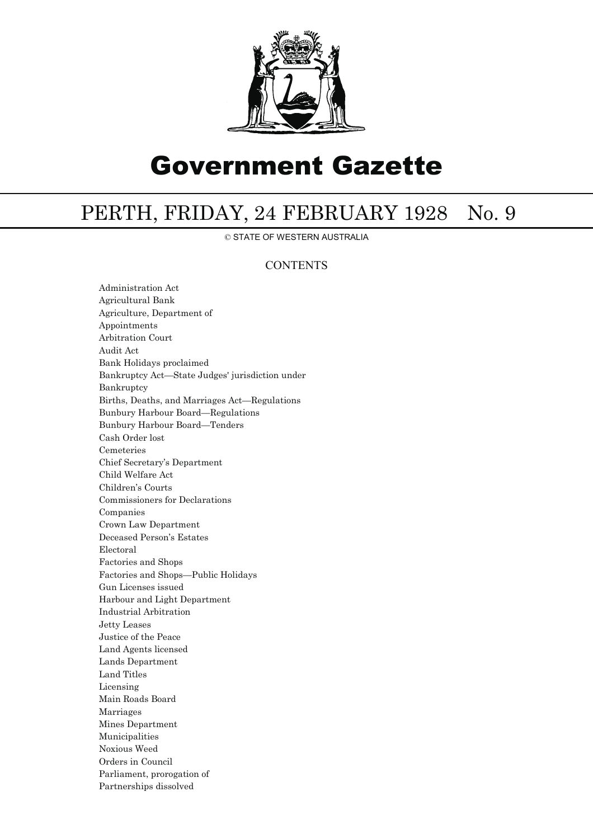

# Government Gazette

## PERTH, FRIDAY, 24 FEBRUARY 1928 No. 9

© STATE OF WESTERN AUSTRALIA

### **CONTENTS**

Administration Act Agricultural Bank Agriculture, Department of Appointments Arbitration Court Audit Act Bank Holidays proclaimed Bankruptcy Act—State Judges' jurisdiction under Bankruptcy Births, Deaths, and Marriages Act—Regulations Bunbury Harbour Board—Regulations Bunbury Harbour Board—Tenders Cash Order lost Cemeteries Chief Secretary's Department Child Welfare Act Children's Courts Commissioners for Declarations Companies Crown Law Department Deceased Person's Estates Electoral Factories and Shops Factories and Shops—Public Holidays Gun Licenses issued Harbour and Light Department Industrial Arbitration Jetty Leases Justice of the Peace Land Agents licensed Lands Department Land Titles Licensing Main Roads Board Marriages Mines Department Municipalities Noxious Weed Orders in Council Parliament, prorogation of Partnerships dissolved